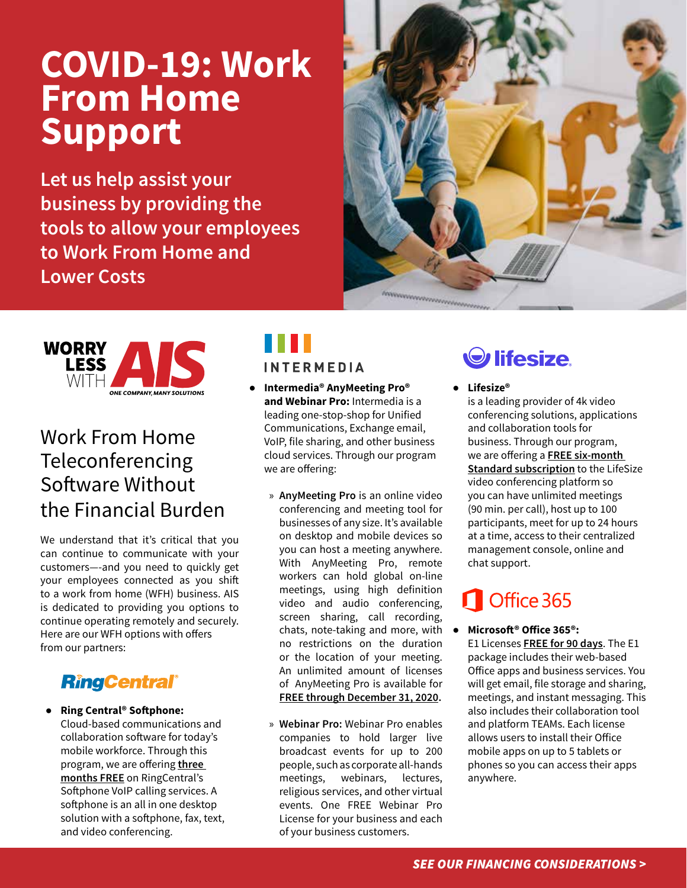## **COVID-19: Work From Home Support**

**Let us help assist your business by providing the tools to allow your employees to Work From Home and Lower Costs** 





### Work From Home **Teleconferencing** Software Without the Financial Burden

We understand that it's critical that you can continue to communicate with your customers—-and you need to quickly get your employees connected as you shift to a work from home (WFH) business. AIS is dedicated to providing you options to continue operating remotely and securely. Here are our WFH options with offers from our partners:

### **RingCentral®**

### ● **Ring Central® Softphone:**

Cloud-based communications and collaboration software for today's mobile workforce. Through this program, we are offering **three months FREE** on RingCentral's Softphone VoIP calling services. A softphone is an all in one desktop solution with a softphone, fax, text, and video conferencing.

# **INTERMEDIA**

## ● **Intermedia® AnyMeeting Pro®**

- **and Webinar Pro:** Intermedia is a leading one-stop-shop for Unified Communications, Exchange email, VoIP, file sharing, and other business cloud services. Through our program we are offering:
	- » **AnyMeeting Pro** is an online video conferencing and meeting tool for businesses of any size. It's available on desktop and mobile devices so you can host a meeting anywhere. With AnyMeeting Pro, remote workers can hold global on-line meetings, using high definition video and audio conferencing, screen sharing, call recording, chats, note-taking and more, with  $\bullet$ no restrictions on the duration or the location of your meeting. An unlimited amount of licenses of AnyMeeting Pro is available for **FREE through December 31, 2020.**
	- » **Webinar Pro:** Webinar Pro enables companies to hold larger live broadcast events for up to 200 people, such as corporate all-hands meetings, webinars, lectures, religious services, and other virtual events. One FREE Webinar Pro License for your business and each of your business customers.



● **Lifesize®**

is a leading provider of 4k video conferencing solutions, applications and collaboration tools for business. Through our program, we are offering a **FREE six-month Standard subscription** to the LifeSize video conferencing platform so you can have unlimited meetings (90 min. per call), host up to 100 participants, meet for up to 24 hours at a time, access to their centralized management console, online and chat support.

## Office 365

### ● **Microsoft® Office 365®:**

E1 Licenses **FREE for 90 days**. The E1 package includes their web-based Office apps and business services. You will get email, file storage and sharing, meetings, and instant messaging. This also includes their collaboration tool and platform TEAMs. Each license allows users to install their Office mobile apps on up to 5 tablets or phones so you can access their apps anywhere.